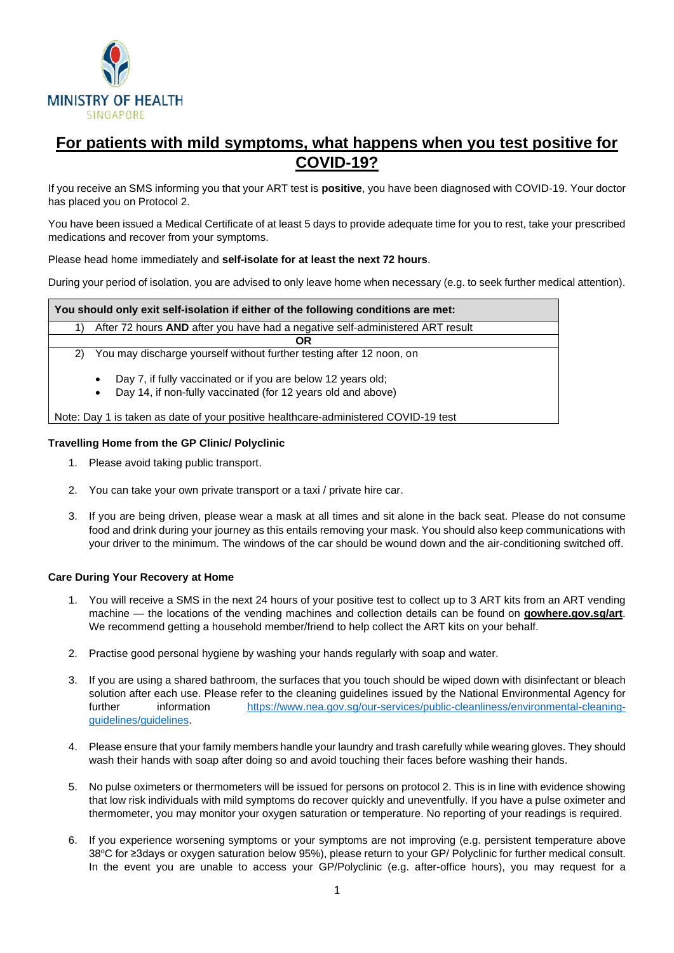

# **For patients with mild symptoms, what happens when you test positive for COVID-19?**

If you receive an SMS informing you that your ART test is **positive**, you have been diagnosed with COVID-19. Your doctor has placed you on Protocol 2.

You have been issued a Medical Certificate of at least 5 days to provide adequate time for you to rest, take your prescribed medications and recover from your symptoms.

Please head home immediately and **self-isolate for at least the next 72 hours**.

During your period of isolation, you are advised to only leave home when necessary (e.g. to seek further medical attention).

| You should only exit self-isolation if either of the following conditions are met:                                                        |
|-------------------------------------------------------------------------------------------------------------------------------------------|
| After 72 hours AND after you have had a negative self-administered ART result                                                             |
| OR                                                                                                                                        |
| You may discharge yourself without further testing after 12 noon, on<br>2)                                                                |
| Day 7, if fully vaccinated or if you are below 12 years old;<br>$\bullet$<br>Day 14, if non-fully vaccinated (for 12 years old and above) |
| Note: Day 1 is taken as date of your positive healthcare-administered COVID-19 test                                                       |

## **Travelling Home from the GP Clinic/ Polyclinic**

- 1. Please avoid taking public transport.
- 2. You can take your own private transport or a taxi / private hire car.
- 3. If you are being driven, please wear a mask at all times and sit alone in the back seat. Please do not consume food and drink during your journey as this entails removing your mask. You should also keep communications with your driver to the minimum. The windows of the car should be wound down and the air-conditioning switched off.

## **Care During Your Recovery at Home**

- 1. You will receive a SMS in the next 24 hours of your positive test to collect up to 3 ART kits from an ART vending machine — the locations of the vending machines and collection details can be found on **gowhere.gov.sg/art**. We recommend getting a household member/friend to help collect the ART kits on your behalf.
- 2. Practise good personal hygiene by washing your hands regularly with soap and water.
- 3. If you are using a shared bathroom, the surfaces that you touch should be wiped down with disinfectant or bleach solution after each use. Please refer to the cleaning guidelines issued by the National Environmental Agency for further information [https://www.nea.gov.sg/our-services/public-cleanliness/environmental-cleaning](https://www.nea.gov.sg/our-services/public-cleanliness/environmental-cleaning-guidelines/guidelines)[guidelines/guidelines.](https://www.nea.gov.sg/our-services/public-cleanliness/environmental-cleaning-guidelines/guidelines)
- 4. Please ensure that your family members handle your laundry and trash carefully while wearing gloves. They should wash their hands with soap after doing so and avoid touching their faces before washing their hands.
- 5. No pulse oximeters or thermometers will be issued for persons on protocol 2. This is in line with evidence showing that low risk individuals with mild symptoms do recover quickly and uneventfully. If you have a pulse oximeter and thermometer, you may monitor your oxygen saturation or temperature. No reporting of your readings is required.
- 6. If you experience worsening symptoms or your symptoms are not improving (e.g. persistent temperature above 38°C for ≥3days or oxygen saturation below 95%), please return to your GP/ Polyclinic for further medical consult. In the event you are unable to access your GP/Polyclinic (e.g. after-office hours), you may request for a